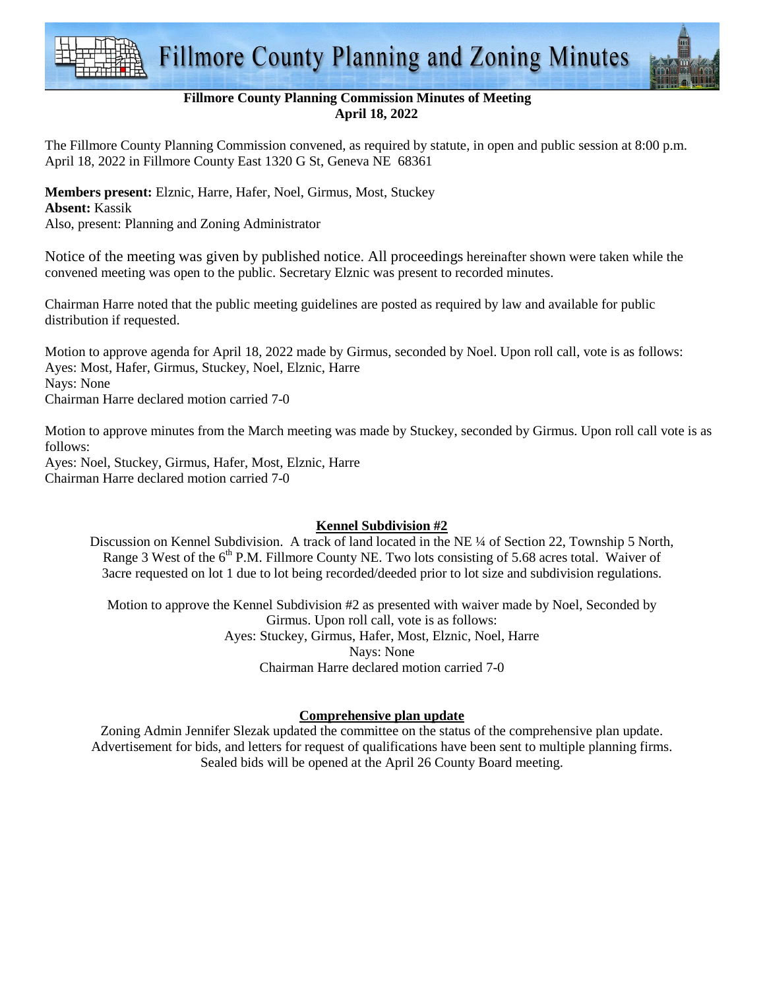



### **Fillmore County Planning Commission Minutes of Meeting April 18, 2022**

The Fillmore County Planning Commission convened, as required by statute, in open and public session at 8:00 p.m. April 18, 2022 in Fillmore County East 1320 G St, Geneva NE 68361

# **Members present:** Elznic, Harre, Hafer, Noel, Girmus, Most, Stuckey

#### **Absent:** Kassik

Also, present: Planning and Zoning Administrator

Notice of the meeting was given by published notice. All proceedings hereinafter shown were taken while the convened meeting was open to the public. Secretary Elznic was present to recorded minutes.

Chairman Harre noted that the public meeting guidelines are posted as required by law and available for public distribution if requested.

Motion to approve agenda for April 18, 2022 made by Girmus, seconded by Noel. Upon roll call, vote is as follows: Ayes: Most, Hafer, Girmus, Stuckey, Noel, Elznic, Harre Nays: None Chairman Harre declared motion carried 7-0

Motion to approve minutes from the March meeting was made by Stuckey, seconded by Girmus. Upon roll call vote is as follows:

Ayes: Noel, Stuckey, Girmus, Hafer, Most, Elznic, Harre Chairman Harre declared motion carried 7-0

## **Kennel Subdivision #2**

Discussion on Kennel Subdivision. A track of land located in the NE ¼ of Section 22, Township 5 North, Range 3 West of the 6<sup>th</sup> P.M. Fillmore County NE. Two lots consisting of 5.68 acres total. Waiver of 3acre requested on lot 1 due to lot being recorded/deeded prior to lot size and subdivision regulations.

Motion to approve the Kennel Subdivision #2 as presented with waiver made by Noel, Seconded by Girmus. Upon roll call, vote is as follows: Ayes: Stuckey, Girmus, Hafer, Most, Elznic, Noel, Harre Nays: None Chairman Harre declared motion carried 7-0

#### **Comprehensive plan update**

Zoning Admin Jennifer Slezak updated the committee on the status of the comprehensive plan update. Advertisement for bids, and letters for request of qualifications have been sent to multiple planning firms. Sealed bids will be opened at the April 26 County Board meeting.